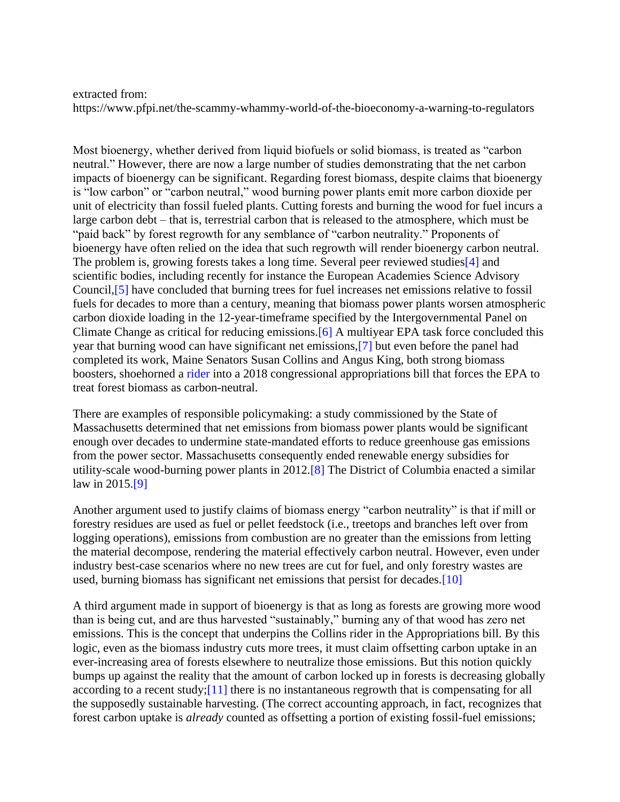## extracted from:

<https://www.pfpi.net/the-scammy-whammy-world-of-the-bioeconomy-a-warning-to-regulators>

Most bioenergy, whether derived from liquid biofuels or solid biomass, is treated as "carbon neutral." However, there are now a large number of studies demonstrating that the net carbon impacts of bioenergy can be significant. Regarding forest biomass, despite claims that bioenergy is "low carbon" or "carbon neutral," wood burning power plants emit more carbon dioxide per unit of electricity than fossil fueled plants. Cutting forests and burning the wood for fuel incurs a large carbon debt – that is, terrestrial carbon that is released to the atmosphere, which must be "paid back" by forest regrowth for any semblance of "carbon neutrality." Proponents of bioenergy have often relied on the idea that such regrowth will render bioenergy carbon neutral. The problem is, growing forests takes a long time. Several peer reviewed studies<sup>[4]</sup> and scientific bodies, including recently for instance the European Academies Science Advisory Council,[5] have concluded that burning trees for fuel increases net emissions relative to fossil fuels for decades to more than a century, meaning that biomass power plants worsen atmospheric carbon dioxide loading in the 12-year-timeframe specified by the Intergovernmental Panel on Climate Change as critical for reducing emissions.[6] A multiyear EPA task force concluded this year that burning wood can have significant net emissions,[7] but even before the panel had completed its work, Maine Senators Susan Collins and Angus King, both strong biomass boosters, shoehorned a rider into a 2018 congressional appropriations bill that forces the EPA to treat forest biomass as carbon-neutral.

There are examples of responsible policymaking: a study commissioned by the State of Massachusetts determined that net emissions from biomass power plants would be significant enough over decades to undermine state-mandated efforts to reduce greenhouse gas emissions from the power sector. Massachusetts consequently ended renewable energy subsidies for utility-scale wood-burning power plants in 2012.[8] The District of Columbia enacted a similar law in 2015.[9]

Another argument used to justify claims of biomass energy "carbon neutrality" is that if mill or forestry residues are used as fuel or pellet feedstock (i.e., treetops and branches left over from logging operations), emissions from combustion are no greater than the emissions from letting the material decompose, rendering the material effectively carbon neutral. However, even under industry best-case scenarios where no new trees are cut for fuel, and only forestry wastes are used, burning biomass has significant net emissions that persist for decades.[10]

A third argument made in support of bioenergy is that as long as forests are growing more wood than is being cut, and are thus harvested "sustainably," burning any of that wood has zero net emissions. This is the concept that underpins the Collins rider in the Appropriations bill. By this logic, even as the biomass industry cuts more trees, it must claim offsetting carbon uptake in an ever-increasing area of forests elsewhere to neutralize those emissions. But this notion quickly bumps up against the reality that the amount of carbon locked up in forests is decreasing globally according to a recent study;[11] there is no instantaneous regrowth that is compensating for all the supposedly sustainable harvesting. (The correct accounting approach, in fact, recognizes that forest carbon uptake is *already* counted as offsetting a portion of existing fossil-fuel emissions;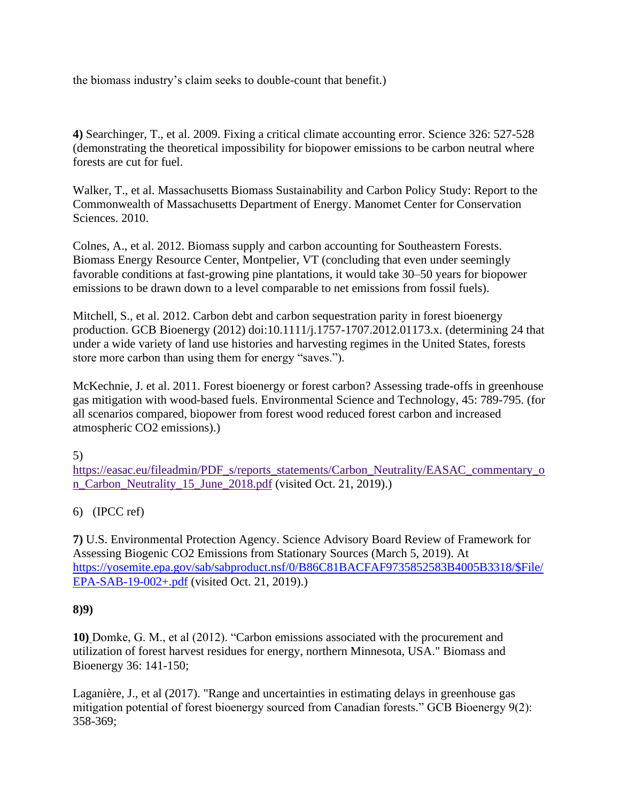the biomass industry's claim seeks to double-count that benefit.)

**4)** Searchinger, T., et al. 2009. Fixing a critical climate accounting error. Science 326: 527-528 (demonstrating the theoretical impossibility for biopower emissions to be carbon neutral where forests are cut for fuel.

Walker, T., et al. Massachusetts Biomass Sustainability and Carbon Policy Study: Report to the Commonwealth of Massachusetts Department of Energy. Manomet Center for Conservation Sciences. 2010.

Colnes, A., et al. 2012. Biomass supply and carbon accounting for Southeastern Forests. Biomass Energy Resource Center, Montpelier, VT (concluding that even under seemingly favorable conditions at fast-growing pine plantations, it would take 30–50 years for biopower emissions to be drawn down to a level comparable to net emissions from fossil fuels).

Mitchell, S., et al. 2012. Carbon debt and carbon sequestration parity in forest bioenergy production. GCB Bioenergy (2012) doi:10.1111/j.1757-1707.2012.01173.x. (determining 24 that under a wide variety of land use histories and harvesting regimes in the United States, forests store more carbon than using them for energy "saves.").

McKechnie, J. et al. 2011. Forest bioenergy or forest carbon? Assessing trade-offs in greenhouse gas mitigation with wood-based fuels. Environmental Science and Technology, 45: 789-795. (for all scenarios compared, biopower from forest wood reduced forest carbon and increased atmospheric CO2 emissions).)

5)

[https://easac.eu/fileadmin/PDF\\_s/reports\\_statements/Carbon\\_Neutrality/EASAC\\_commentary\\_o](https://easac.eu/fileadmin/PDF_s/reports_statements/Carbon_Neutrality/EASAC_commentary_on_Carbon_Neutrality_15_June_2018.pdf) [n\\_Carbon\\_Neutrality\\_15\\_June\\_2018.pdf](https://easac.eu/fileadmin/PDF_s/reports_statements/Carbon_Neutrality/EASAC_commentary_on_Carbon_Neutrality_15_June_2018.pdf) (visited Oct. 21, 2019).)

## 6) (IPCC ref)

**7)** U.S. Environmental Protection Agency. Science Advisory Board Review of Framework for Assessing Biogenic CO2 Emissions from Stationary Sources (March 5, 2019). At [https://yosemite.epa.gov/sab/sabproduct.nsf/0/B86C81BACFAF9735852583B4005B3318/\\$File/](https://yosemite.epa.gov/sab/sabproduct.nsf/0/B86C81BACFAF9735852583B4005B3318/$File/EPA-SAB-19-002+.pdf) [EPA-SAB-19-002+.pdf](https://yosemite.epa.gov/sab/sabproduct.nsf/0/B86C81BACFAF9735852583B4005B3318/$File/EPA-SAB-19-002+.pdf) (visited Oct. 21, 2019).)

## **8)9)**

**10)** Domke, G. M., et al (2012). "Carbon emissions associated with the procurement and utilization of forest harvest residues for energy, northern Minnesota, USA." Biomass and Bioenergy 36: 141-150;

Laganière, J., et al (2017). "Range and uncertainties in estimating delays in greenhouse gas mitigation potential of forest bioenergy sourced from Canadian forests." GCB Bioenergy 9(2): 358-369;